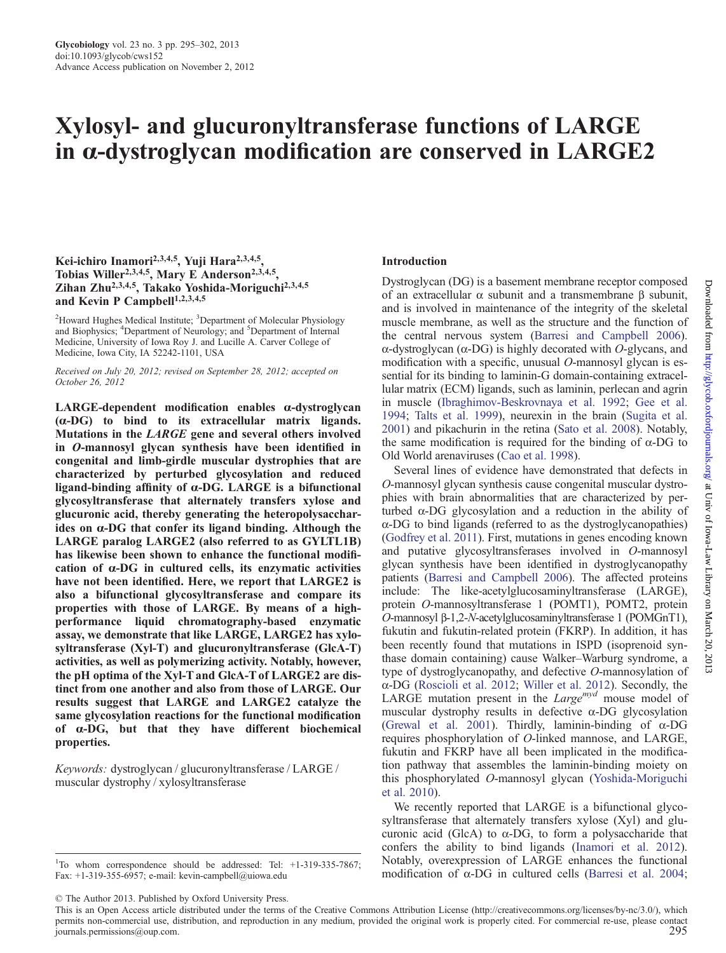# Xylosyl- and glucuronyltransferase functions of LARGE in α-dystroglycan modification are conserved in LARGE2

# Kei-ichiro Inamori<sup>2,3,4,5</sup>, Yuji Hara<sup>2,3,4,5</sup>, Tobias Willer<sup>2,3,4,5</sup>, Mary E Anderson<sup>2,3,4,5</sup>, Zihan Zhu2,3,4,5, Takako Yoshida-Moriguchi2,3,4,5 and Kevin P Campbell<sup>1,2,3,4,5</sup>

<sup>2</sup>Howard Hughes Medical Institute; <sup>3</sup>Department of Molecular Physiology and Biophysics; <sup>4</sup>Department of Neurology; and <sup>5</sup>Department of Internal Medicine, University of Iowa Roy J. and Lucille A. Carver College of Medicine, Iowa City, IA 52242-1101, USA

Received on July 20, 2012; revised on September 28, 2012; accepted on October 26, 2012

LARGE-dependent modification enables α-dystroglycan (α-DG) to bind to its extracellular matrix ligands. Mutations in the LARGE gene and several others involved in O-mannosyl glycan synthesis have been identified in congenital and limb-girdle muscular dystrophies that are characterized by perturbed glycosylation and reduced ligand-binding affinity of  $\alpha$ -DG. LARGE is a bifunctional glycosyltransferase that alternately transfers xylose and glucuronic acid, thereby generating the heteropolysaccharides on α-DG that confer its ligand binding. Although the LARGE paralog LARGE2 (also referred to as GYLTL1B) has likewise been shown to enhance the functional modification of α-DG in cultured cells, its enzymatic activities have not been identified. Here, we report that LARGE2 is also a bifunctional glycosyltransferase and compare its properties with those of LARGE. By means of a highperformance liquid chromatography-based enzymatic assay, we demonstrate that like LARGE, LARGE2 has xylosyltransferase (Xyl-T) and glucuronyltransferase (GlcA-T) activities, as well as polymerizing activity. Notably, however, the pH optima of the Xyl-T and GlcA-T of LARGE2 are distinct from one another and also from those of LARGE. Our results suggest that LARGE and LARGE2 catalyze the same glycosylation reactions for the functional modification of α-DG, but that they have different biochemical properties.

Keywords: dystroglycan / glucuronyltransferase / LARGE / muscular dystrophy / xylosyltransferase

#### <sup>1</sup>To whom correspondence should be addressed: Tel: +1-319-335-7867; Fax: +1-319-355-6957; e-mail: kevin-campbell@uiowa.edu

© The Author 2013. Published by Oxford University Press.

#### Introduction

Dystroglycan (DG) is a basement membrane receptor composed of an extracellular α subunit and a transmembrane β subunit, and is involved in maintenance of the integrity of the skeletal muscle membrane, as well as the structure and the function of the central nervous system [\(Barresi and Campbell 2006](#page-6-0)). α-dystroglycan (α-DG) is highly decorated with O-glycans, and modification with a specific, unusual O-mannosyl glycan is essential for its binding to laminin-G domain-containing extracellular matrix (ECM) ligands, such as laminin, perlecan and agrin in muscle [\(Ibraghimov-Beskrovnaya et al. 1992](#page-7-0); [Gee et al.](#page-7-0) [1994](#page-7-0); [Talts et al. 1999\)](#page-7-0), neurexin in the brain ([Sugita et al.](#page-7-0) [2001](#page-7-0)) and pikachurin in the retina ([Sato et al. 2008\)](#page-7-0). Notably, the same modification is required for the binding of  $α$ -DG to Old World arenaviruses [\(Cao et al. 1998\)](#page-6-0).

Several lines of evidence have demonstrated that defects in O-mannosyl glycan synthesis cause congenital muscular dystrophies with brain abnormalities that are characterized by perturbed α-DG glycosylation and a reduction in the ability of α-DG to bind ligands (referred to as the dystroglycanopathies) [\(Godfrey et al. 2011\)](#page-7-0). First, mutations in genes encoding known and putative glycosyltransferases involved in O-mannosyl glycan synthesis have been identified in dystroglycanopathy patients [\(Barresi and Campbell 2006](#page-6-0)). The affected proteins include: The like-acetylglucosaminyltransferase (LARGE), protein O-mannosyltransferase 1 (POMT1), POMT2, protein O-mannosyl β-1,2-N-acetylglucosaminyltransferase 1 (POMGnT1), fukutin and fukutin-related protein (FKRP). In addition, it has been recently found that mutations in ISPD (isoprenoid synthase domain containing) cause Walker–Warburg syndrome, a type of dystroglycanopathy, and defective O-mannosylation of α-DG [\(Roscioli et al. 2012](#page-7-0); [Willer et al. 2012\)](#page-7-0). Secondly, the LARGE mutation present in the  $Large^{myd}$  mouse model of muscular dystrophy results in defective  $\alpha$ -DG glycosylation [\(Grewal et al. 2001\)](#page-7-0). Thirdly, laminin-binding of α-DG requires phosphorylation of O-linked mannose, and LARGE, fukutin and FKRP have all been implicated in the modification pathway that assembles the laminin-binding moiety on this phosphorylated O-mannosyl glycan ([Yoshida-Moriguchi](#page-7-0) [et al. 2010\)](#page-7-0).

We recently reported that LARGE is a bifunctional glycosyltransferase that alternately transfers xylose (Xyl) and glucuronic acid (GlcA) to  $\alpha$ -DG, to form a polysaccharide that confers the ability to bind ligands ([Inamori et al. 2012](#page-7-0)). Notably, overexpression of LARGE enhances the functional modification of α-DG in cultured cells ([Barresi et al. 2004](#page-6-0);

This is an Open Access article distributed under the terms of the Creative Commons Attribution License (http://creativecommons.org/licenses/by-nc/3.0/), which permits non-commercial use, distribution, and reproduction in any medium, provided the original work is properly cited. For commercial re-use, please contact<br>295  $j$ ournals.permissions@oup.com.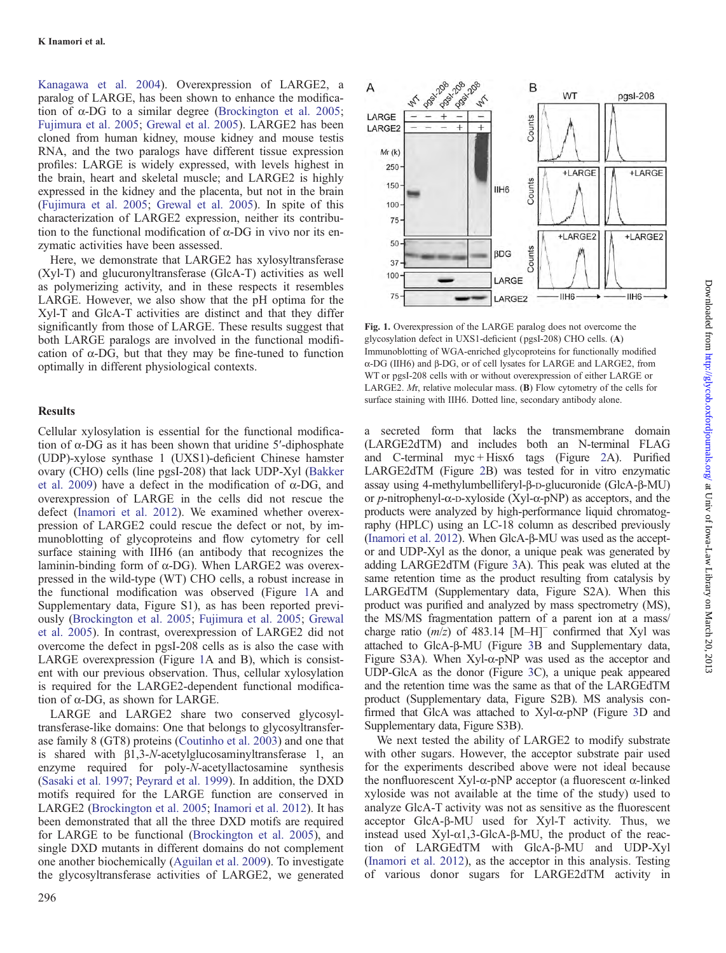[Kanagawa et al. 2004\)](#page-7-0). Overexpression of LARGE2, a paralog of LARGE, has been shown to enhance the modification of  $\alpha$ -DG to a similar degree [\(Brockington et al. 2005](#page-6-0); [Fujimura et al. 2005](#page-7-0); [Grewal et al. 2005\)](#page-7-0). LARGE2 has been cloned from human kidney, mouse kidney and mouse testis RNA, and the two paralogs have different tissue expression profiles: LARGE is widely expressed, with levels highest in the brain, heart and skeletal muscle; and LARGE2 is highly expressed in the kidney and the placenta, but not in the brain [\(Fujimura et al. 2005](#page-7-0); [Grewal et al. 2005\)](#page-7-0). In spite of this characterization of LARGE2 expression, neither its contribution to the functional modification of  $\alpha$ -DG in vivo nor its enzymatic activities have been assessed.

Here, we demonstrate that LARGE2 has xylosyltransferase (Xyl-T) and glucuronyltransferase (GlcA-T) activities as well as polymerizing activity, and in these respects it resembles LARGE. However, we also show that the pH optima for the Xyl-T and GlcA-T activities are distinct and that they differ significantly from those of LARGE. These results suggest that both LARGE paralogs are involved in the functional modification of  $\alpha$ -DG, but that they may be fine-tuned to function optimally in different physiological contexts.

#### Results

Cellular xylosylation is essential for the functional modification of α-DG as it has been shown that uridine 5′-diphosphate (UDP)-xylose synthase 1 (UXS1)-deficient Chinese hamster ovary (CHO) cells (line pgsI-208) that lack UDP-Xyl ([Bakker](#page-6-0) [et al. 2009](#page-6-0)) have a defect in the modification of  $\alpha$ -DG, and overexpression of LARGE in the cells did not rescue the defect ([Inamori et al. 2012\)](#page-7-0). We examined whether overexpression of LARGE2 could rescue the defect or not, by immunoblotting of glycoproteins and flow cytometry for cell surface staining with IIH6 (an antibody that recognizes the laminin-binding form of α-DG). When LARGE2 was overexpressed in the wild-type (WT) CHO cells, a robust increase in the functional modification was observed (Figure 1A and [Supplementary data, Figure S1\)](http://glycob.oxfordjournals.org/lookup/suppl/doi:10.1093/glycob/cws152/-/DC1), as has been reported previously ([Brockington et al. 2005](#page-6-0); [Fujimura et al. 2005](#page-7-0); [Grewal](#page-7-0) [et al. 2005\)](#page-7-0). In contrast, overexpression of LARGE2 did not overcome the defect in pgsI-208 cells as is also the case with LARGE overexpression (Figure 1A and B), which is consistent with our previous observation. Thus, cellular xylosylation is required for the LARGE2-dependent functional modification of α-DG, as shown for LARGE.

LARGE and LARGE2 share two conserved glycosyltransferase-like domains: One that belongs to glycosyltransferase family 8 (GT8) proteins ([Coutinho et al. 2003\)](#page-6-0) and one that is shared with β1,3-N-acetylglucosaminyltransferase 1, an enzyme required for poly-N-acetyllactosamine synthesis [\(Sasaki et al. 1997;](#page-7-0) [Peyrard et al. 1999](#page-7-0)). In addition, the DXD motifs required for the LARGE function are conserved in LARGE2 [\(Brockington et al. 2005;](#page-6-0) [Inamori et al. 2012\)](#page-7-0). It has been demonstrated that all the three DXD motifs are required for LARGE to be functional [\(Brockington et al. 2005\)](#page-6-0), and single DXD mutants in different domains do not complement one another biochemically [\(Aguilan et al. 2009\)](#page-6-0). To investigate the glycosyltransferase activities of LARGE2, we generated



Fig. 1. Overexpression of the LARGE paralog does not overcome the glycosylation defect in UXS1-deficient ( pgsI-208) CHO cells. (A) Immunoblotting of WGA-enriched glycoproteins for functionally modified α-DG (IIH6) and β-DG, or of cell lysates for LARGE and LARGE2, from WT or pgsI-208 cells with or without overexpression of either LARGE or LARGE2. Mr, relative molecular mass. (B) Flow cytometry of the cells for surface staining with IIH6. Dotted line, secondary antibody alone.

a secreted form that lacks the transmembrane domain (LARGE2dTM) and includes both an N-terminal FLAG and C-terminal myc + Hisx6 tags (Figure [2A](#page-2-0)). Purified LARGE2dTM (Figure [2](#page-2-0)B) was tested for in vitro enzymatic assay using 4-methylumbelliferyl-β-D-glucuronide (GlcA-β-MU) or p-nitrophenyl-α-D-xyloside (Xyl-α-pNP) as acceptors, and the products were analyzed by high-performance liquid chromatography (HPLC) using an LC-18 column as described previously [\(Inamori et al. 2012\)](#page-7-0). When GlcA-β-MU was used as the acceptor and UDP-Xyl as the donor, a unique peak was generated by adding LARGE2dTM (Figure [3](#page-3-0)A). This peak was eluted at the same retention time as the product resulting from catalysis by LARGEdTM [\(Supplementary data, Figure S2A\)](http://glycob.oxfordjournals.org/lookup/suppl/doi:10.1093/glycob/cws152/-/DC1). When this product was purified and analyzed by mass spectrometry (MS), the MS/MS fragmentation pattern of a parent ion at a mass/ charge ratio  $(m/z)$  of 483.14 [M–H]<sup>−</sup> confirmed that Xyl was attached to GlcA-β-MU (Figure [3](#page-3-0)B and [Supplementary data,](http://glycob.oxfordjournals.org/lookup/suppl/doi:10.1093/glycob/cws152/-/DC1) [Figure S3A](http://glycob.oxfordjournals.org/lookup/suppl/doi:10.1093/glycob/cws152/-/DC1)). When Xyl-α-pNP was used as the acceptor and UDP-GlcA as the donor (Figure [3](#page-3-0)C), a unique peak appeared and the retention time was the same as that of the LARGEdTM product ([Supplementary data, Figure S2B](http://glycob.oxfordjournals.org/lookup/suppl/doi:10.1093/glycob/cws152/-/DC1)). MS analysis confirmed that GlcA was attached to Xyl-α-pNP (Figure [3](#page-3-0)D and [Supplementary data, Figure S3B](http://glycob.oxfordjournals.org/lookup/suppl/doi:10.1093/glycob/cws152/-/DC1)).

We next tested the ability of LARGE2 to modify substrate with other sugars. However, the acceptor substrate pair used for the experiments described above were not ideal because the nonfluorescent Xyl-α-pNP acceptor (a fluorescent α-linked xyloside was not available at the time of the study) used to analyze GlcA-T activity was not as sensitive as the fluorescent acceptor GlcA-β-MU used for Xyl-T activity. Thus, we instead used Xyl- $α1,3-GlcA-B-MU$ , the product of the reaction of LARGEdTM with GlcA-β-MU and UDP-Xyl [\(Inamori et al. 2012](#page-7-0)), as the acceptor in this analysis. Testing of various donor sugars for LARGE2dTM activity in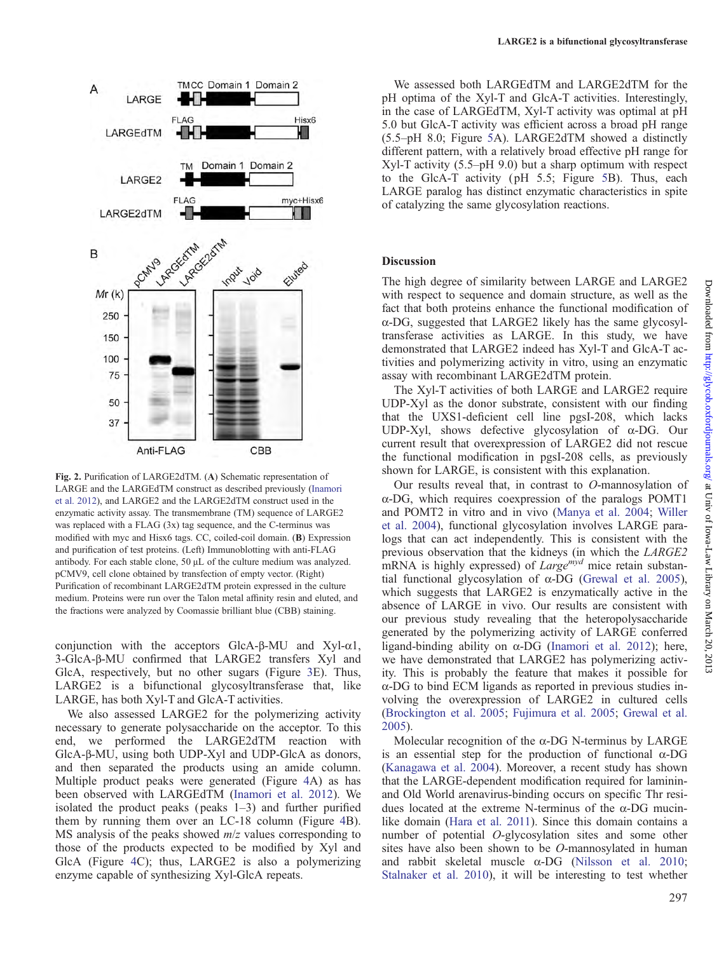<span id="page-2-0"></span>

Fig. 2. Purification of LARGE2dTM. (A) Schematic representation of LARGE and the LARGEdTM construct as described previously ([Inamori](#page-7-0) [et al. 2012](#page-7-0)), and LARGE2 and the LARGE2dTM construct used in the enzymatic activity assay. The transmembrane (TM) sequence of LARGE2 was replaced with a FLAG (3x) tag sequence, and the C-terminus was modified with myc and Hisx6 tags. CC, coiled-coil domain. (B) Expression and purification of test proteins. (Left) Immunoblotting with anti-FLAG antibody. For each stable clone, 50 μL of the culture medium was analyzed. pCMV9, cell clone obtained by transfection of empty vector. (Right) Purification of recombinant LARGE2dTM protein expressed in the culture medium. Proteins were run over the Talon metal affinity resin and eluted, and the fractions were analyzed by Coomassie brilliant blue (CBB) staining.

conjunction with the acceptors GlcA-β-MU and Xyl-α1, 3-GlcA-β-MU confirmed that LARGE2 transfers Xyl and GlcA, respectively, but no other sugars (Figure [3E](#page-3-0)). Thus, LARGE2 is a bifunctional glycosyltransferase that, like LARGE, has both Xyl-T and GlcA-T activities.

We also assessed LARGE2 for the polymerizing activity necessary to generate polysaccharide on the acceptor. To this end, we performed the LARGE2dTM reaction with GlcA-β-MU, using both UDP-Xyl and UDP-GlcA as donors, and then separated the products using an amide column. Multiple product peaks were generated (Figure [4A](#page-4-0)) as has been observed with LARGEdTM ([Inamori et al. 2012](#page-7-0)). We isolated the product peaks ( $peaks \ 1-3$ ) and further purified them by running them over an LC-18 column (Figure [4B](#page-4-0)). MS analysis of the peaks showed  $m/z$  values corresponding to those of the products expected to be modified by Xyl and GlcA (Figure [4](#page-4-0)C); thus, LARGE2 is also a polymerizing enzyme capable of synthesizing Xyl-GlcA repeats.

We assessed both LARGEdTM and LARGE2dTM for the pH optima of the Xyl-T and GlcA-T activities. Interestingly, in the case of LARGEdTM, Xyl-T activity was optimal at pH 5.0 but GlcA-T activity was efficient across a broad pH range (5.5–pH 8.0; Figure [5A](#page-5-0)). LARGE2dTM showed a distinctly different pattern, with a relatively broad effective pH range for Xyl-T activity (5.5–pH 9.0) but a sharp optimum with respect to the GlcA-T activity ( pH 5.5; Figure [5B](#page-5-0)). Thus, each LARGE paralog has distinct enzymatic characteristics in spite of catalyzing the same glycosylation reactions.

#### **Discussion**

The high degree of similarity between LARGE and LARGE2 with respect to sequence and domain structure, as well as the fact that both proteins enhance the functional modification of α-DG, suggested that LARGE2 likely has the same glycosyltransferase activities as LARGE. In this study, we have demonstrated that LARGE2 indeed has Xyl-T and GlcA-T activities and polymerizing activity in vitro, using an enzymatic assay with recombinant LARGE2dTM protein.

The Xyl-T activities of both LARGE and LARGE2 require UDP-Xyl as the donor substrate, consistent with our finding that the UXS1-deficient cell line pgsI-208, which lacks UDP-Xyl, shows defective glycosylation of α-DG. Our current result that overexpression of LARGE2 did not rescue the functional modification in pgsI-208 cells, as previously shown for LARGE, is consistent with this explanation.

Our results reveal that, in contrast to O-mannosylation of α-DG, which requires coexpression of the paralogs POMT1 and POMT2 in vitro and in vivo ([Manya et al. 2004;](#page-7-0) [Willer](#page-7-0) [et al. 2004](#page-7-0)), functional glycosylation involves LARGE paralogs that can act independently. This is consistent with the previous observation that the kidneys (in which the LARGE2 mRNA is highly expressed) of  $Large^{myd}$  mice retain substantial functional glycosylation of  $α$ -DG [\(Grewal et al. 2005](#page-7-0)), which suggests that LARGE2 is enzymatically active in the absence of LARGE in vivo. Our results are consistent with our previous study revealing that the heteropolysaccharide generated by the polymerizing activity of LARGE conferred ligand-binding ability on α-DG [\(Inamori et al. 2012](#page-7-0)); here, we have demonstrated that LARGE2 has polymerizing activity. This is probably the feature that makes it possible for α-DG to bind ECM ligands as reported in previous studies involving the overexpression of LARGE2 in cultured cells [\(Brockington et al. 2005](#page-6-0); [Fujimura et al. 2005;](#page-7-0) [Grewal et al.](#page-7-0) [2005](#page-7-0)).

Molecular recognition of the α-DG N-terminus by LARGE is an essential step for the production of functional α-DG [\(Kanagawa et al. 2004](#page-7-0)). Moreover, a recent study has shown that the LARGE-dependent modification required for lamininand Old World arenavirus-binding occurs on specific Thr residues located at the extreme N-terminus of the α-DG mucinlike domain ([Hara et al. 2011\)](#page-7-0). Since this domain contains a number of potential O-glycosylation sites and some other sites have also been shown to be O-mannosylated in human and rabbit skeletal muscle α-DG [\(Nilsson et al. 2010](#page-7-0); [Stalnaker et al. 2010\)](#page-7-0), it will be interesting to test whether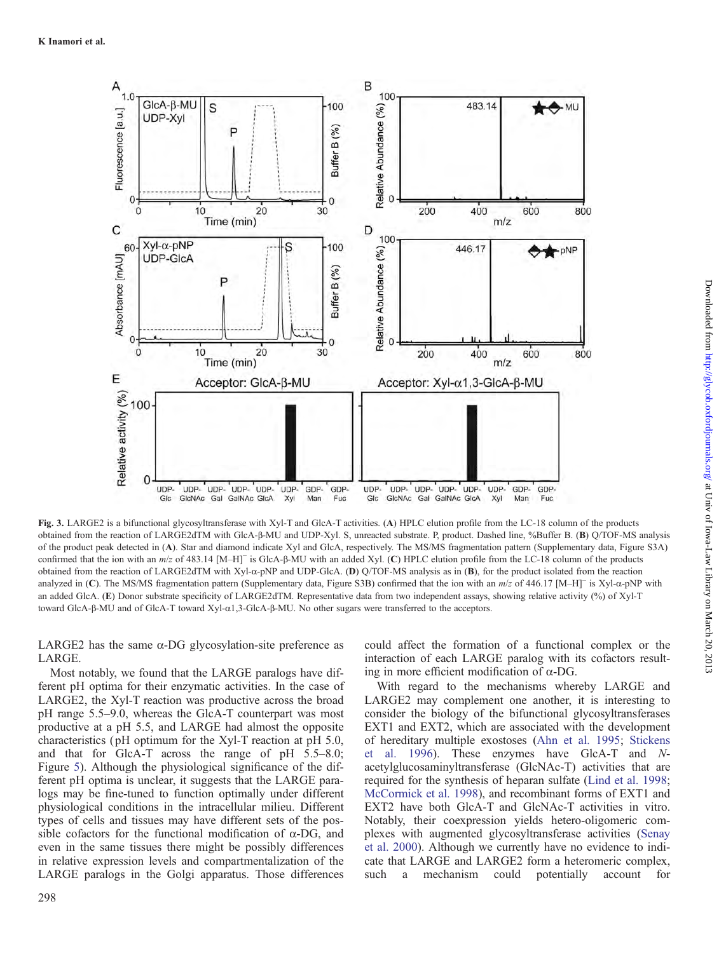<span id="page-3-0"></span>

Fig. 3. LARGE2 is a bifunctional glycosyltransferase with Xyl-T and GlcA-T activities. (A) HPLC elution profile from the LC-18 column of the products obtained from the reaction of LARGE2dTM with GlcA-β-MU and UDP-Xyl. S, unreacted substrate. P, product. Dashed line, %Buffer B. (B) Q/TOF-MS analysis of the product peak detected in (A). Star and diamond indicate Xyl and GlcA, respectively. The MS/MS fragmentation pattern ([Supplementary data, Figure S3A](http://glycob.oxfordjournals.org/lookup/suppl/doi:10.1093/glycob/cws152/-/DC1)) confirmed that the ion with an m/z of 483.14 [M–H]<sup>−</sup> is GlcA-β-MU with an added Xyl. (C) HPLC elution profile from the LC-18 column of the products obtained from the reaction of LARGE2dTM with Xyl-α-pNP and UDP-GlcA. (D) Q/TOF-MS analysis as in (B), for the product isolated from the reaction analyzed in (C). The MS/MS fragmentation pattern ([Supplementary data, Figure S3B\)](http://glycob.oxfordjournals.org/lookup/suppl/doi:10.1093/glycob/cws152/-/DC1) confirmed that the ion with an m/z of 446.17 [M–H]<sup>−</sup> is Xyl-α-pNP with an added GlcA. (E) Donor substrate specificity of LARGE2dTM. Representative data from two independent assays, showing relative activity (%) of Xyl-T toward GlcA-β-MU and of GlcA-T toward Xyl-α1,3-GlcA-β-MU. No other sugars were transferred to the acceptors.

LARGE2 has the same  $\alpha$ -DG glycosylation-site preference as LARGE.

Most notably, we found that the LARGE paralogs have different pH optima for their enzymatic activities. In the case of LARGE2, the Xyl-T reaction was productive across the broad pH range 5.5–9.0, whereas the GlcA-T counterpart was most productive at a pH 5.5, and LARGE had almost the opposite characteristics ( pH optimum for the Xyl-T reaction at pH 5.0, and that for GlcA-T across the range of pH 5.5–8.0; Figure [5\)](#page-5-0). Although the physiological significance of the different pH optima is unclear, it suggests that the LARGE paralogs may be fine-tuned to function optimally under different physiological conditions in the intracellular milieu. Different types of cells and tissues may have different sets of the possible cofactors for the functional modification of  $\alpha$ -DG, and even in the same tissues there might be possibly differences in relative expression levels and compartmentalization of the LARGE paralogs in the Golgi apparatus. Those differences

298

could affect the formation of a functional complex or the interaction of each LARGE paralog with its cofactors resulting in more efficient modification of α-DG.

With regard to the mechanisms whereby LARGE and LARGE2 may complement one another, it is interesting to consider the biology of the bifunctional glycosyltransferases EXT1 and EXT2, which are associated with the development of hereditary multiple exostoses [\(Ahn et al. 1995;](#page-6-0) [Stickens](#page-7-0) [et al. 1996](#page-7-0)). These enzymes have GlcA-T and Nacetylglucosaminyltransferase (GlcNAc-T) activities that are required for the synthesis of heparan sulfate [\(Lind et al. 1998](#page-7-0); [McCormick et al. 1998](#page-7-0)), and recombinant forms of EXT1 and EXT2 have both GlcA-T and GlcNAc-T activities in vitro. Notably, their coexpression yields hetero-oligomeric complexes with augmented glycosyltransferase activities ([Senay](#page-7-0) [et al. 2000\)](#page-7-0). Although we currently have no evidence to indicate that LARGE and LARGE2 form a heteromeric complex, such a mechanism could potentially account for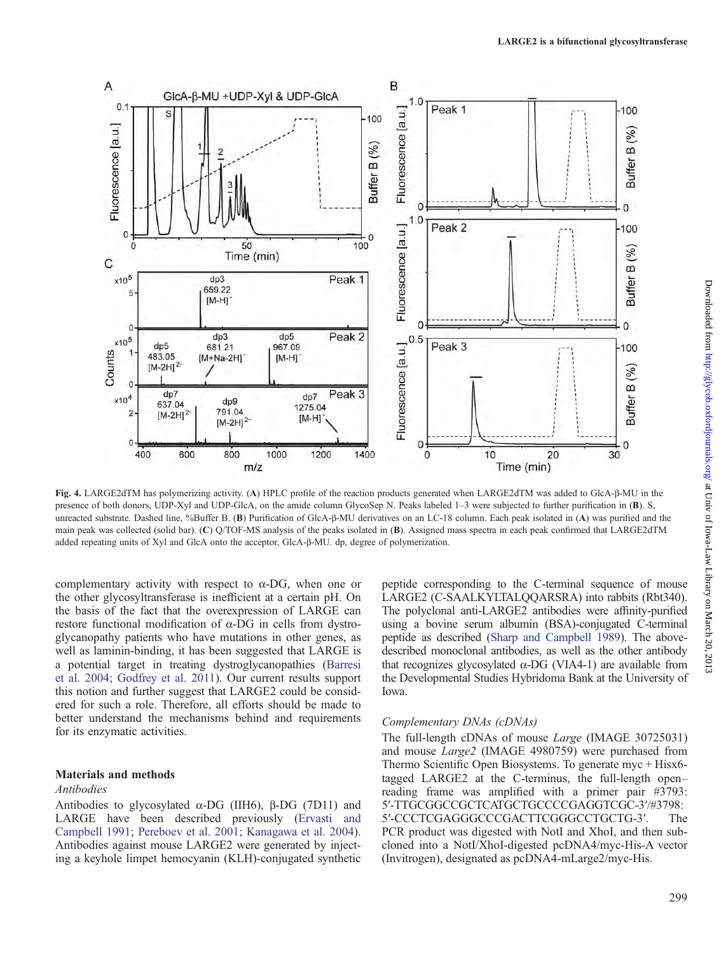<span id="page-4-0"></span>

Fig. 4. LARGE2dTM has polymerizing activity. (A) HPLC profile of the reaction products generated when LARGE2dTM was added to GlcA-β-MU in the presence of both donors, UDP-Xyl and UDP-GlcA, on the amide column GlycoSep N. Peaks labeled 1–3 were subjected to further purification in (B). S, unreacted substrate. Dashed line, %Buffer B. (B) Purification of GlcA-β-MU derivatives on an LC-18 column. Each peak isolated in (A) was purified and the main peak was collected (solid bar). (C) Q/TOF-MS analysis of the peaks isolated in (B). Assigned mass spectra in each peak confirmed that LARGE2dTM added repeating units of Xyl and GlcA onto the acceptor, GlcA-β-MU. dp, degree of polymerization.

complementary activity with respect to  $\alpha$ -DG, when one or the other glycosyltransferase is inefficient at a certain pH. On the basis of the fact that the overexpression of LARGE can restore functional modification of α-DG in cells from dystroglycanopathy patients who have mutations in other genes, as well as laminin-binding, it has been suggested that LARGE is a potential target in treating dystroglycanopathies ([Barresi](#page-6-0) [et al. 2004;](#page-6-0) [Godfrey et al. 2011\)](#page-7-0). Our current results support this notion and further suggest that LARGE2 could be considered for such a role. Therefore, all efforts should be made to better understand the mechanisms behind and requirements for its enzymatic activities.

## Materials and methods

#### Antibodies

Antibodies to glycosylated  $\alpha$ -DG (IIH6), β-DG (7D11) and LARGE have been described previously ([Ervasti and](#page-6-0) [Campbell 1991](#page-6-0); [Pereboev et al. 2001](#page-7-0); [Kanagawa et al. 2004](#page-7-0)). Antibodies against mouse LARGE2 were generated by injecting a keyhole limpet hemocyanin (KLH)-conjugated synthetic

peptide corresponding to the C-terminal sequence of mouse LARGE2 (C-SAALKYLTALQQARSRA) into rabbits (Rbt340). The polyclonal anti-LARGE2 antibodies were affinity-purified using a bovine serum albumin (BSA)-conjugated C-terminal peptide as described [\(Sharp and Campbell 1989\)](#page-7-0). The abovedescribed monoclonal antibodies, as well as the other antibody that recognizes glycosylated  $α$ -DG (VIA4-1) are available from the Developmental Studies Hybridoma Bank at the University of Iowa.

#### Complementary DNAs (cDNAs)

The full-length cDNAs of mouse Large (IMAGE 30725031) and mouse Large2 (IMAGE 4980759) were purchased from Thermo Scientific Open Biosystems. To generate myc + Hisx6 tagged LARGE2 at the C-terminus, the full-length open– reading frame was amplified with a primer pair #3793: 5′-TTGCGGCCGCTCATGCTGCCCCGAGGTCGC-3′/#3798: 5′-CCCTCGAGGGCCCGACTTCGGGCCTGCTG-3′. The PCR product was digested with NotI and XhoI, and then subcloned into a NotI/XhoI-digested pcDNA4/myc-His-A vector (Invitrogen), designated as pcDNA4-mLarge2/myc-His.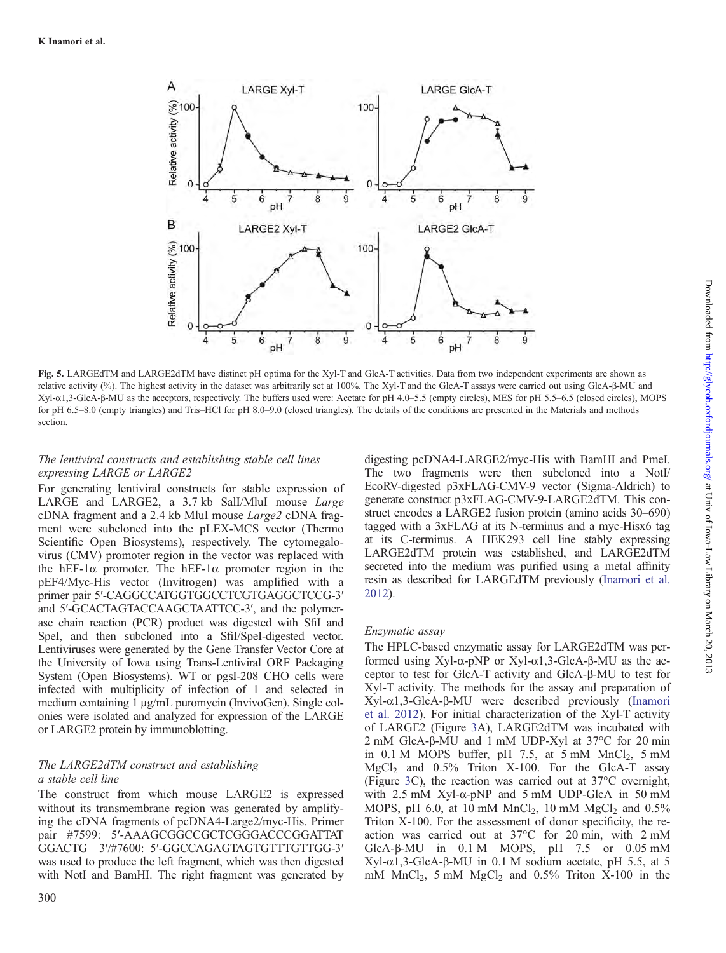<span id="page-5-0"></span>

Fig. 5. LARGEdTM and LARGE2dTM have distinct pH optima for the Xyl-T and GlcA-T activities. Data from two independent experiments are shown as relative activity (%). The highest activity in the dataset was arbitrarily set at 100%. The Xyl-T and the GlcA-T assays were carried out using GlcA-β-MU and Xyl-α1,3-GlcA-β-MU as the acceptors, respectively. The buffers used were: Acetate for pH 4.0–5.5 (empty circles), MES for pH 5.5–6.5 (closed circles), MOPS for pH 6.5–8.0 (empty triangles) and Tris–HCl for pH 8.0–9.0 (closed triangles). The details of the conditions are presented in the Materials and methods section.

# The lentiviral constructs and establishing stable cell lines expressing LARGE or LARGE2

For generating lentiviral constructs for stable expression of LARGE and LARGE2, a 3.7 kb SalI/MluI mouse Large cDNA fragment and a 2.4 kb MluI mouse Large2 cDNA fragment were subcloned into the pLEX-MCS vector (Thermo Scientific Open Biosystems), respectively. The cytomegalovirus (CMV) promoter region in the vector was replaced with the hEF-1 $\alpha$  promoter. The hEF-1 $\alpha$  promoter region in the pEF4/Myc-His vector (Invitrogen) was amplified with a primer pair 5′-CAGGCCATGGTGGCCTCGTGAGGCTCCG-3′ and 5′-GCACTAGTACCAAGCTAATTCC-3′, and the polymerase chain reaction (PCR) product was digested with SfiI and SpeI, and then subcloned into a SfiI/SpeI-digested vector. Lentiviruses were generated by the Gene Transfer Vector Core at the University of Iowa using Trans-Lentiviral ORF Packaging System (Open Biosystems). WT or pgsI-208 CHO cells were infected with multiplicity of infection of 1 and selected in medium containing 1 μg/mL puromycin (InvivoGen). Single colonies were isolated and analyzed for expression of the LARGE or LARGE2 protein by immunoblotting.

## The LARGE2dTM construct and establishing a stable cell line

The construct from which mouse LARGE2 is expressed without its transmembrane region was generated by amplifying the cDNA fragments of pcDNA4-Large2/myc-His. Primer pair #7599: 5'-AAAGCGGCCGCTCGGGACCCGGATTAT GGACTG—3′/#7600: 5′-GGCCAGAGTAGTGTTTGTTGG-3′ was used to produce the left fragment, which was then digested with NotI and BamHI. The right fragment was generated by

digesting pcDNA4-LARGE2/myc-His with BamHI and PmeI. The two fragments were then subcloned into a NotI/ EcoRV-digested p3xFLAG-CMV-9 vector (Sigma-Aldrich) to generate construct p3xFLAG-CMV-9-LARGE2dTM. This construct encodes a LARGE2 fusion protein (amino acids 30–690) tagged with a 3xFLAG at its N-terminus and a myc-Hisx6 tag at its C-terminus. A HEK293 cell line stably expressing LARGE2dTM protein was established, and LARGE2dTM secreted into the medium was purified using a metal affinity resin as described for LARGEdTM previously ([Inamori et al.](#page-7-0) [2012\)](#page-7-0).

# Enzymatic assay

The HPLC-based enzymatic assay for LARGE2dTM was performed using Xyl-α-pNP or Xyl-α1,3-GlcA-β-MU as the acceptor to test for GlcA-T activity and GlcA-β-MU to test for Xyl-T activity. The methods for the assay and preparation of Xyl-α1,3-GlcA-β-MU were described previously ([Inamori](#page-7-0) [et al. 2012\)](#page-7-0). For initial characterization of the Xyl-T activity of LARGE2 (Figure [3](#page-3-0)A), LARGE2dTM was incubated with 2 mM GlcA-β-MU and 1 mM UDP-Xyl at 37°C for 20 min in  $0.1$  M MOPS buffer, pH 7.5, at 5 mM MnCl<sub>2</sub>, 5 mM  $MgCl<sub>2</sub>$  and 0.5% Triton X-100. For the GlcA-T assay (Figure [3](#page-3-0)C), the reaction was carried out at 37°C overnight, with  $2.5$  mM Xyl- $\alpha$ -pNP and  $5$  mM UDP-GlcA in  $50$  mM MOPS, pH 6.0, at 10 mM  $MnCl<sub>2</sub>$ , 10 mM  $MgCl<sub>2</sub>$  and 0.5% Triton X-100. For the assessment of donor specificity, the reaction was carried out at 37°C for 20 min, with 2 mM GlcA-β-MU in 0.1 M MOPS, pH 7.5 or 0.05 mM Xyl-α1,3-GlcA-β-MU in 0.1 M sodium acetate, pH 5.5, at 5 mM  $MnCl<sub>2</sub>$ , 5 mM  $MgCl<sub>2</sub>$  and 0.5% Triton X-100 in the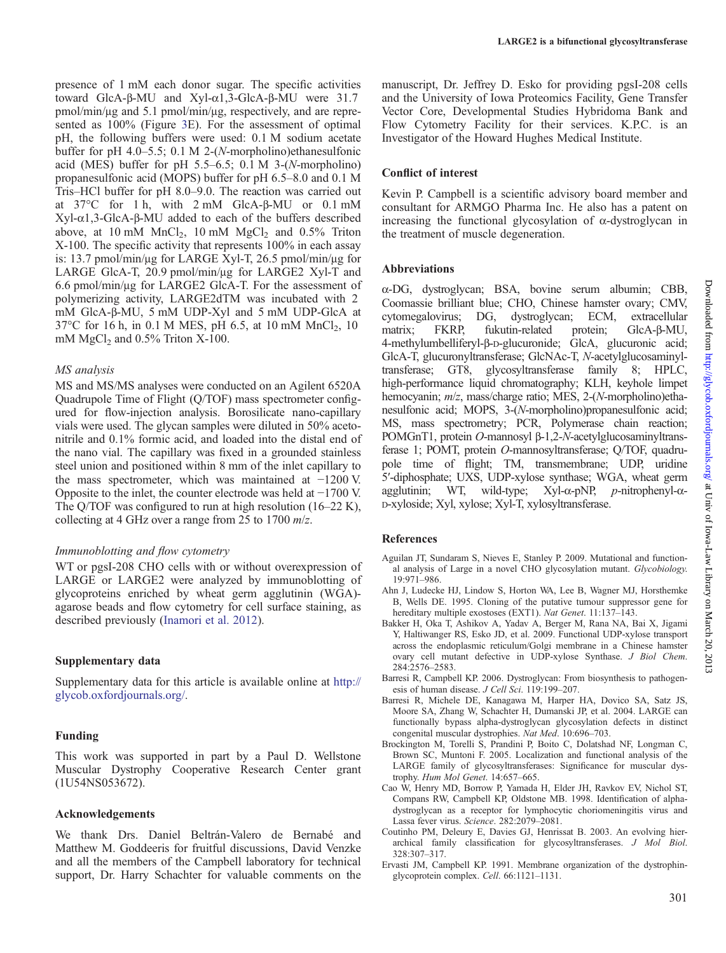<span id="page-6-0"></span>presence of 1 mM each donor sugar. The specific activities toward GlcA-β-MU and Xyl-α1,3-GlcA-β-MU were 31.7 pmol/min/μg and 5.1 pmol/min/μg, respectively, and are represented as 100% (Figure [3E](#page-3-0)). For the assessment of optimal pH, the following buffers were used: 0.1 M sodium acetate buffer for pH 4.0–5.5; 0.1 M 2-(N-morpholino)ethanesulfonic acid (MES) buffer for pH  $5.5-6.5$ ; 0.1 M  $3-(N\text{-morphism})$ propanesulfonic acid (MOPS) buffer for pH 6.5–8.0 and 0.1 M Tris–HCl buffer for pH 8.0–9.0. The reaction was carried out at 37°C for 1 h, with 2 mM GlcA-β-MU or 0.1 mM Xyl-α1,3-GlcA-β-MU added to each of the buffers described above, at  $10 \text{ mM } MnCl<sub>2</sub>$ ,  $10 \text{ mM } MgCl<sub>2</sub>$  and  $0.5\%$  Triton X-100. The specific activity that represents 100% in each assay is: 13.7 pmol/min/μg for LARGE Xyl-T, 26.5 pmol/min/μg for LARGE GlcA-T, 20.9 pmol/min/μg for LARGE2 Xyl-T and 6.6 pmol/min/μg for LARGE2 GlcA-T. For the assessment of polymerizing activity, LARGE2dTM was incubated with 2 mM GlcA-β-MU, 5 mM UDP-Xyl and 5 mM UDP-GlcA at  $37^{\circ}$ C for 16 h, in 0.1 M MES, pH 6.5, at 10 mM MnCl<sub>2</sub>, 10 mM MgCl<sub>2</sub> and  $0.5\%$  Triton X-100.

#### MS analysis

MS and MS/MS analyses were conducted on an Agilent 6520A Quadrupole Time of Flight (Q/TOF) mass spectrometer configured for flow-injection analysis. Borosilicate nano-capillary vials were used. The glycan samples were diluted in 50% acetonitrile and 0.1% formic acid, and loaded into the distal end of the nano vial. The capillary was fixed in a grounded stainless steel union and positioned within 8 mm of the inlet capillary to the mass spectrometer, which was maintained at −1200 V. Opposite to the inlet, the counter electrode was held at −1700 V. The Q/TOF was configured to run at high resolution (16–22 K), collecting at 4 GHz over a range from 25 to 1700  $m/z$ .

#### Immunoblotting and flow cytometry

WT or pgsI-208 CHO cells with or without overexpression of LARGE or LARGE2 were analyzed by immunoblotting of glycoproteins enriched by wheat germ agglutinin (WGA) agarose beads and flow cytometry for cell surface staining, as described previously [\(Inamori et al. 2012](#page-7-0)).

## Supplementary data

[Supplementary data for this article is available online at](http://glycob.oxfordjournals.org/lookup/suppl/doi:10.1093/glycob/cws152/-/DC1) [http://](http://glycob.oxfordjournals.org/) [glycob.oxfordjournals.org/.](http://glycob.oxfordjournals.org/)

## Funding

This work was supported in part by a Paul D. Wellstone Muscular Dystrophy Cooperative Research Center grant (1U54NS053672).

## Acknowledgements

We thank Drs. Daniel Beltrán-Valero de Bernabé and Matthew M. Goddeeris for fruitful discussions, David Venzke and all the members of the Campbell laboratory for technical support, Dr. Harry Schachter for valuable comments on the manuscript, Dr. Jeffrey D. Esko for providing pgsI-208 cells and the University of Iowa Proteomics Facility, Gene Transfer Vector Core, Developmental Studies Hybridoma Bank and Flow Cytometry Facility for their services. K.P.C. is an Investigator of the Howard Hughes Medical Institute.

## Conflict of interest

Kevin P. Campbell is a scientific advisory board member and consultant for ARMGO Pharma Inc. He also has a patent on increasing the functional glycosylation of  $\alpha$ -dystroglycan in the treatment of muscle degeneration.

## Abbreviations

α-DG, dystroglycan; BSA, bovine serum albumin; CBB, Coomassie brilliant blue; CHO, Chinese hamster ovary; CMV, cytomegalovirus; DG, dystroglycan; ECM, extracellular matrix; FKRP, fukutin-related protein; GlcA-β-MU, 4-methylumbelliferyl-β-D-glucuronide; GlcA, glucuronic acid; GlcA-T, glucuronyltransferase; GlcNAc-T, N-acetylglucosaminyltransferase; GT8, glycosyltransferase family 8; HPLC, high-performance liquid chromatography; KLH, keyhole limpet hemocyanin; m/z, mass/charge ratio; MES, 2-(N-morpholino)ethanesulfonic acid; MOPS, 3-(N-morpholino)propanesulfonic acid; MS, mass spectrometry; PCR, Polymerase chain reaction; POMGnT1, protein O-mannosyl β-1,2-N-acetylglucosaminyltransferase 1; POMT, protein O-mannosyltransferase; Q/TOF, quadrupole time of flight; TM, transmembrane; UDP, uridine 5′-diphosphate; UXS, UDP-xylose synthase; WGA, wheat germ agglutinin; WT, wild-type; Xyl-α-pNP, p-nitrophenyl-α-D-xyloside; Xyl, xylose; Xyl-T, xylosyltransferase.

## References

- Aguilan JT, Sundaram S, Nieves E, Stanley P. 2009. Mutational and functional analysis of Large in a novel CHO glycosylation mutant. Glycobiology. 19:971–986.
- Ahn J, Ludecke HJ, Lindow S, Horton WA, Lee B, Wagner MJ, Horsthemke B, Wells DE. 1995. Cloning of the putative tumour suppressor gene for hereditary multiple exostoses (EXT1). Nat Genet. 11:137-143.
- Bakker H, Oka T, Ashikov A, Yadav A, Berger M, Rana NA, Bai X, Jigami Y, Haltiwanger RS, Esko JD, et al. 2009. Functional UDP-xylose transport across the endoplasmic reticulum/Golgi membrane in a Chinese hamster ovary cell mutant defective in UDP-xylose Synthase. J Biol Chem. 284:2576–2583.
- Barresi R, Campbell KP. 2006. Dystroglycan: From biosynthesis to pathogenesis of human disease. J Cell Sci. 119:199–207.
- Barresi R, Michele DE, Kanagawa M, Harper HA, Dovico SA, Satz JS, Moore SA, Zhang W, Schachter H, Dumanski JP, et al. 2004. LARGE can functionally bypass alpha-dystroglycan glycosylation defects in distinct congenital muscular dystrophies. Nat Med. 10:696–703.
- Brockington M, Torelli S, Prandini P, Boito C, Dolatshad NF, Longman C, Brown SC, Muntoni F. 2005. Localization and functional analysis of the LARGE family of glycosyltransferases: Significance for muscular dystrophy. Hum Mol Genet. 14:657–665.
- Cao W, Henry MD, Borrow P, Yamada H, Elder JH, Ravkov EV, Nichol ST, Compans RW, Campbell KP, Oldstone MB. 1998. Identification of alphadystroglycan as a receptor for lymphocytic choriomeningitis virus and Lassa fever virus. Science. 282:2079–2081.
- Coutinho PM, Deleury E, Davies GJ, Henrissat B. 2003. An evolving hierarchical family classification for glycosyltransferases. J Mol Biol. 328:307–317.
- Ervasti JM, Campbell KP. 1991. Membrane organization of the dystrophinglycoprotein complex. Cell. 66:1121–1131.